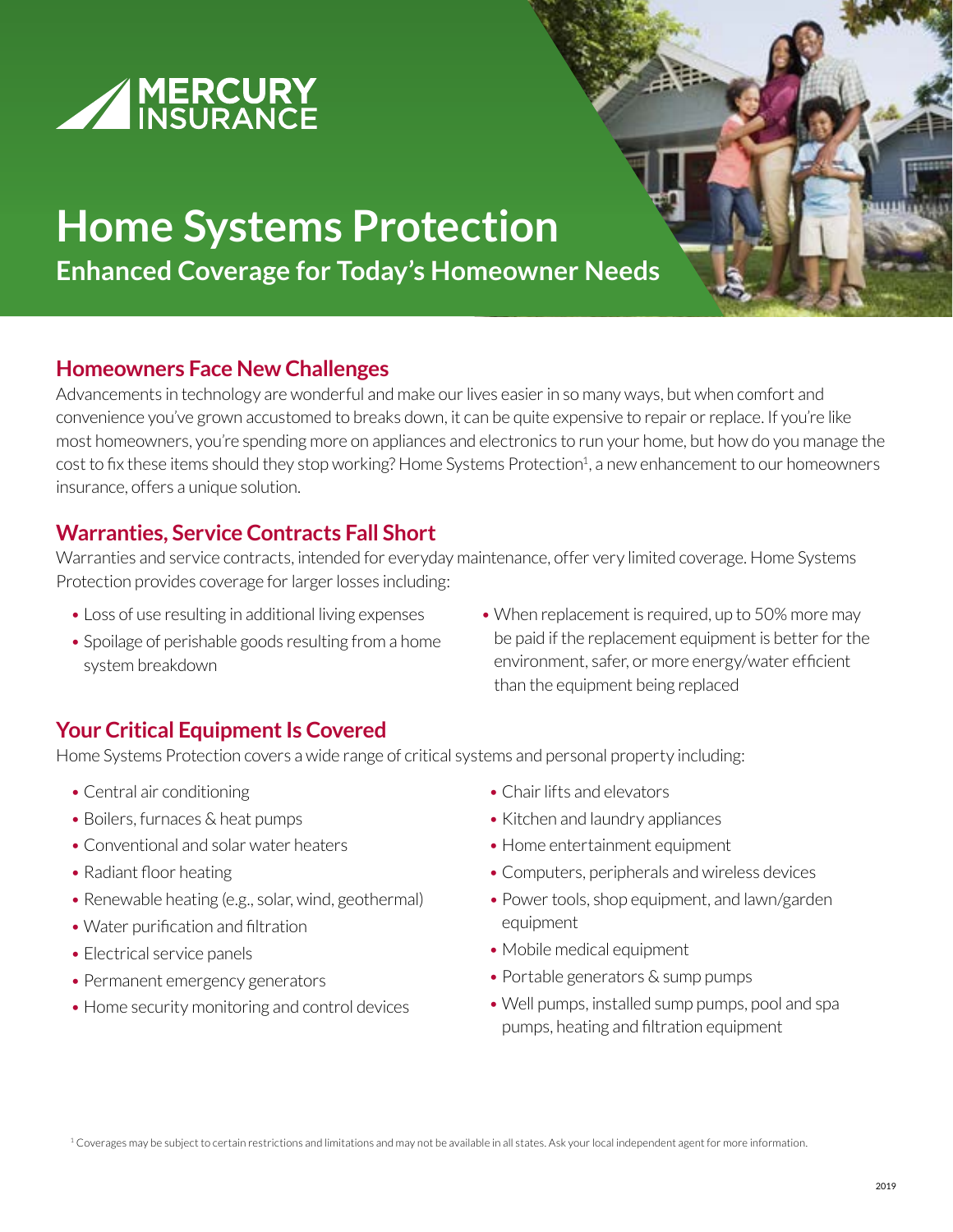

# **Home Systems Protection**

**Enhanced Coverage for Today's Homeowner Needs**

#### **Homeowners Face New Challenges**

Advancements in technology are wonderful and make our lives easier in so many ways, but when comfort and convenience you've grown accustomed to breaks down, it can be quite expensive to repair or replace. If you're like most homeowners, you're spending more on appliances and electronics to run your home, but how do you manage the cost to fix these items should they stop working? Home Systems Protection<sup>1</sup>, a new enhancement to our homeowners insurance, offers a unique solution.

## **Warranties, Service Contracts Fall Short**

Warranties and service contracts, intended for everyday maintenance, offer very limited coverage. Home Systems Protection provides coverage for larger losses including:

- Loss of use resulting in additional living expenses
- Spoilage of perishable goods resulting from a home system breakdown
- When replacement is required, up to 50% more may be paid if the replacement equipment is better for the environment, safer, or more energy/water efficient than the equipment being replaced

## **Your Critical Equipment Is Covered**

Home Systems Protection covers a wide range of critical systems and personal property including:

- Central air conditioning
- Boilers, furnaces & heat pumps
- Conventional and solar water heaters
- Radiant floor heating
- Renewable heating (e.g., solar, wind, geothermal)
- Water purification and filtration
- Electrical service panels
- Permanent emergency generators
- Home security monitoring and control devices
- Chair lifts and elevators
- Kitchen and laundry appliances
- Home entertainment equipment
- Computers, peripherals and wireless devices
- Power tools, shop equipment, and lawn/garden equipment
- Mobile medical equipment
- Portable generators & sump pumps
- Well pumps, installed sump pumps, pool and spa pumps, heating and filtration equipment

<sup>1</sup> Coverages may be subject to certain restrictions and limitations and may not be available in all states. Ask your local independent agent for more information.